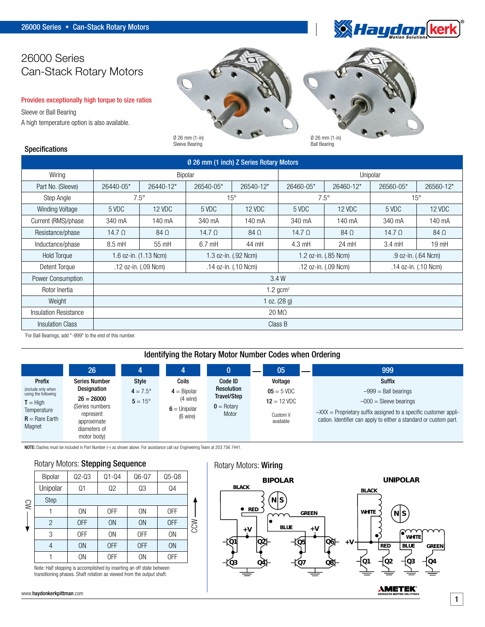

# 26000 Series Can-Stack Rotary Motors

#### Provides exceptionally high torque to size ratios

Sleeve or Ball Bearing A high temperature option is also available.

Specifications

# Ø 26 mm (1-in)



Sleeve Bearing

Ball Bearing

| Ø 26 mm (1 inch) Z Series Rotary Motors |                        |                      |                      |            |                      |            |                      |            |  |
|-----------------------------------------|------------------------|----------------------|----------------------|------------|----------------------|------------|----------------------|------------|--|
| Wiring                                  | Bipolar                |                      |                      |            | Unipolar             |            |                      |            |  |
| Part No. (Sleeve)                       | 26440-05*              | 26440-12*            | 26540-05*            | 26540-12*  | 26460-05*            | 26460-12*  | 26560-05*            | 26560-12*  |  |
| Step Angle                              | $7.5^\circ$            |                      | $15^{\circ}$         |            | $7.5^\circ$          |            | $15^{\circ}$         |            |  |
| <b>Winding Voltage</b>                  | 5 VDC                  | 12 VDC               | 5 VDC                | 12 VDC     | 5 VDC                | 12 VDC     | 5 VDC                | 12 VDC     |  |
| Current (RMS)/phase                     | 340 mA                 | 140 mA               | 340 mA               | 140 mA     | 340 mA               | 140 mA     | 340 mA               | 140 mA     |  |
| Resistance/phase                        | 14.7 $\Omega$          | $84\Omega$           | 14.7 $\Omega$        | $84\Omega$ | 14.7 $\Omega$        | $84\Omega$ | 14.7 $\Omega$        | $84\Omega$ |  |
| Inductance/phase                        | 8.5 mH                 | 55 mH                | $6.7$ mH             | 44 mH      | $4.3 \text{ mH}$     | 24 mH      | $3.4 \text{ mH}$     | $19$ mH    |  |
| <b>Hold Torque</b>                      | 1.6 oz-in. (1.13 Ncm)  |                      | 1.3 oz-in. (.92 Ncm) |            | 1.2 oz-in. (.85 Ncm) |            | .9 oz-in. (.64 Ncm)  |            |  |
| Detent Torque                           |                        | .12 oz-in. (.09 Ncm) | .14 oz-in. (.10 Ncm) |            | .12 oz-in. (.09 Ncm) |            | .14 oz-in. (.10 Ncm) |            |  |
| Power Consumption                       | 3.4W                   |                      |                      |            |                      |            |                      |            |  |
| Rotor Inertia                           | $1.2$ gcm <sup>2</sup> |                      |                      |            |                      |            |                      |            |  |
| Weight                                  | 1 oz. $(28 g)$         |                      |                      |            |                      |            |                      |            |  |
| <b>Insulation Resistance</b>            | $20 \text{ M}\Omega$   |                      |                      |            |                      |            |                      |            |  |
| <b>Insulation Class</b>                 | Class B                |                      |                      |            |                      |            |                      |            |  |

\* For Ball Bearings, add "-999" to the end of this number.

## Identifying the Rotary Motor Number Codes when Ordering

|                                                                                                                | 26                                                                                                                                |                                                |                                                                  |                                                                               | 05                                                                | 999                                                                                                                                                                                                      |
|----------------------------------------------------------------------------------------------------------------|-----------------------------------------------------------------------------------------------------------------------------------|------------------------------------------------|------------------------------------------------------------------|-------------------------------------------------------------------------------|-------------------------------------------------------------------|----------------------------------------------------------------------------------------------------------------------------------------------------------------------------------------------------------|
| Prefix<br>(include only when<br>using the following<br>$T = High$<br>Temperature<br>$R =$ Rare Earth<br>Magnet | <b>Series Number</b><br>Designation<br>$26 = 26000$<br>(Series numbers<br>represent<br>approximate<br>diameters of<br>motor body) | Style<br>$4 = 7.5^{\circ}$<br>$5 = 15^{\circ}$ | Coils<br>$4 =$ Bipolar<br>(4 wire)<br>$6 =$ Unipolar<br>(6 wire) | Code ID<br><b>Resolution</b><br>Travel/Step<br>$\mathbf{0}$ = Rotary<br>Motor | Voltage<br>$05 = 5$ VDC<br>$12 = 12$ VDC<br>Custom V<br>available | Suffix<br>$-999$ = Ball bearings<br>$-000$ = Sleeve bearings<br>$-$ XXX = Proprietary suffix assigned to a specific customer appli-<br>cation. Identifier can apply to either a standard or custom part. |

NOTE: Dashes must be included in Part Number (–) as shown above. For assistance call our Engineering Team at 203 756 7441.

#### Rotary Motors: Stepping Sequence

| <b>SV</b> | Bipolar     | $Q2-Q3$        | $Q1 - Q4$      | $Q6-Q7$   | $Q5-Q8$   |            |
|-----------|-------------|----------------|----------------|-----------|-----------|------------|
|           | Unipolar    | Q1             | Q2             | Q3        | Q4        |            |
|           | <b>Step</b> |                |                |           |           |            |
|           |             | 0 <sub>N</sub> | 0FF            | <b>ON</b> | 0FF       |            |
|           | 2           | 0FF            | <b>ON</b>      | <b>ON</b> | 0FF       | <b>NCC</b> |
|           | 3           | 0FF            | 0 <sub>N</sub> | 0FF       | <b>ON</b> |            |
|           |             | <b>ON</b>      | <b>OFF</b>     | 0FF       | <b>ON</b> |            |
|           |             | 0N             | 0FF            | <b>ON</b> | 0FF       |            |

Note: Half stepping is accomplished by inserting an off state between transitioning phases. Shaft rotation as viewed from the output shaft.

www.haydonkerkpittman.com

# Rotary Motors: Wiring



1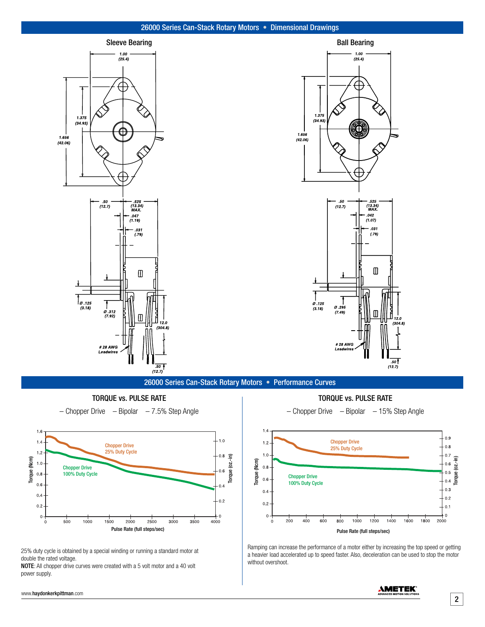#### 26000 Series Can-Stack Rotary Motors • Dimensional Drawings



26000 Series Can-Stack Rotary Motors • Performance Curves

Torque (oz.-in)

TORQUE vs. PULSE RATE

 $-$  Chopper Drive  $-$  Bipolar  $-7.5\%$  Step Angle



25% duty cycle is obtained by a special winding or running a standard motor at double the rated voltage.

NOTE: All chopper drive curves were created with a 5 volt motor and a 40 volt notor and a 40 volt power supply.

TORQUE vs. PULSE RATE **Pulse Rate (full steps/sec)**





Ramping can increase the performance of a motor either by increasing the top speed or getting a heavier load accelerated up to speed faster. Also, deceleration can be used to stop the motor without overshoot.